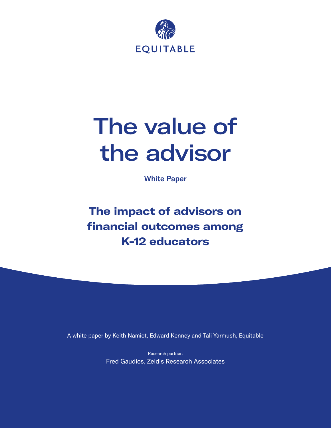

# The value of the advisor

White Paper

**The impact of advisors on financial outcomes among K-12 educators**

A white paper by Keith Namiot, Edward Kenney and Tali Yarmush, Equitable

Research partner: Fred Gaudios, Zeldis Research Associates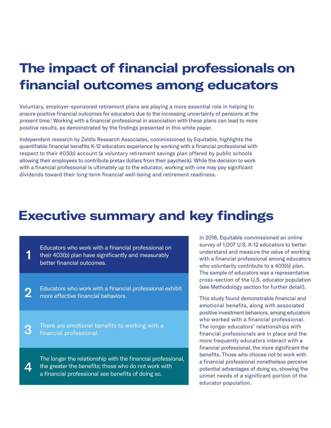### **The impact of financial professionals on financial outcomes among educators**

Voluntary, employer-sponsored retirement plans are playing a more essential role in helping to ensure positive financial outcomes for educators due to the increasing uncertainty of pensions at the present time.<sup>1</sup> Working with a financial professional in association with these plans can lead to more positive results, as demonstrated by the findings presented in this white paper.

Independent research by Zeldis Research Associates, commissioned by Equitable, highlights the quantifiable financial benefits K-12 educators experience by working with a financial professional with respect to their 403(b) account (a voluntary retirement savings plan offered by public schools allowing their employees to contribute pretax dollars from their paycheck). While the decision to work with a financial professional is ultimately up to the educator, working with one may pay significant dividends toward their long-term financial well-being and retirement readiness.

### **Executive summary and key findings**

Educators who work with a financial professional on their 403(b) plan have significantly and measurably better financial outcomes. 1

Educators who work with a financial professional exhibit more effective financial behaviors. 2

There are emotional benefits to working with a financial professional. 3

The longer the relationship with the financial professional, the greater the benefits; those who do not work with a financial professional see benefits of doing so.  $\boldsymbol{\varDelta}$ 

In 2018, Equitable commissioned an online survey of 1,007 U.S. K-12 educators to better understand and measure the value of working with a financial professional among educators who voluntarily contribute to a 403(b) plan. The sample of educators was a representative cross-section of the U.S. educator population (see Methodology section for further detail).

This study found demonstrable financial and emotional benefits, along with associated positive investment behaviors, among educators who worked with a financial professional. The longer educators' relationships with financial professionals are in place and the more frequently educators interact with a financial professional, the more significant the benefits. Those who choose not to work with a financial professional nonetheless perceive potential advantages of doing so, showing the unmet needs of a significant portion of the educator population.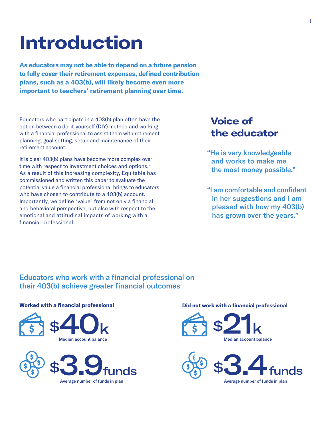# **Introduction**

**As educators may not be able to depend on a future pension to fully cover their retirement expenses, defined contribution plans, such as a 403(b), will likely become even more important to teachers' retirement planning over time.**

Educators who participate in a 403(b) plan often have the option between a do-it-yourself (DIY) method and working with a financial professional to assist them with retirement planning, goal setting, setup and maintenance of their retirement account.

It is clear 403(b) plans have become more complex over time with respect to investment choices and options.<sup>2</sup> As a result of this increasing complexity, Equitable has commissioned and written this paper to evaluate the potential value a financial professional brings to educators who have chosen to contribute to a 403(b) account. Importantly, we define "value" from not only a financial and behavioral perspective, but also with respect to the emotional and attitudinal impacts of working with a financial professional.

### **Voice of the educator**

- "He is very knowledgeable and works to make me the most money possible."
- "I am comfortable and confident in her suggestions and I am pleased with how my 403(b) has grown over the years."

### Educators who work with a financial professional on their 403(b) achieve greater financial outcomes

#### **Worked with a financial professional**





#### **Did not work with a financial professional**



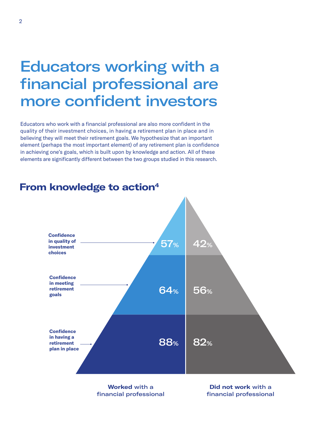### Educators working with a financial professional are more confident investors

Educators who work with a financial professional are also more confident in the quality of their investment choices, in having a retirement plan in place and in believing they will meet their retirement goals. We hypothesize that an important element (perhaps the most important element) of any retirement plan is confidence in achieving one's goals, which is built upon by knowledge and action. All of these elements are significantly different between the two groups studied in this research.



### **From knowledge to action4**

**Worked** with a financial professional

**Did not work** with a financial professional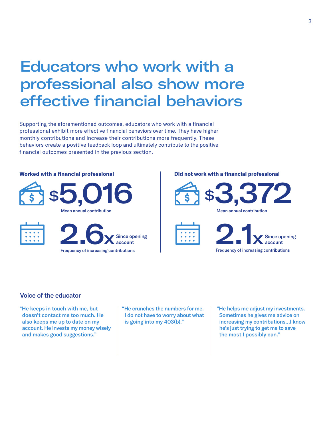## Educators who work with a professional also show more effective financial behaviors

Supporting the aforementioned outcomes, educators who work with a financial professional exhibit more effective financial behaviors over time. They have higher monthly contributions and increase their contributions more frequently. These behaviors create a positive feedback loop and ultimately contribute to the positive financial outcomes presented in the previous section.

### **Worked with a financial professional** \$5,016 2.6x Mean annual contribution Frequency of increasing contributions Since opening account

#### **Did not work with a financial professional**



```
Mean annual contribution
```


### Voice of the educator

"He keeps in touch with me, but doesn't contact me too much. He also keeps me up to date on my account. He invests my money wisely and makes good suggestions."

"He crunches the numbers for me. I do not have to worry about what is going into my 403(b)."

"He helps me adjust my investments. Sometimes he gives me advice on increasing my contributions…I know he's just trying to get me to save the most I possibly can."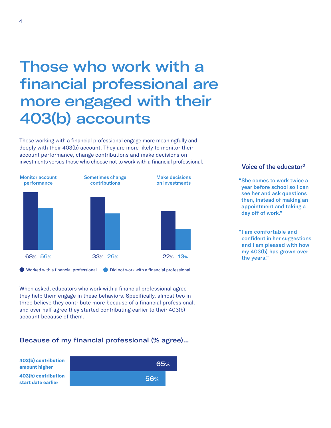## Those who work with a financial professional are more engaged with their 403(b) accounts

Those working with a financial professional engage more meaningfully and deeply with their 403(b) account. They are more likely to monitor their account performance, change contributions and make decisions on investments versus those who choose not to work with a financial professional.



 $\blacksquare$  Worked with a financial professional  $\blacksquare$  Did not work with a financial professional

When asked, educators who work with a financial professional agree they help them engage in these behaviors. Specifically, almost two in three believe they contribute more because of a financial professional, and over half agree they started contributing earlier to their 403(b) account because of them.

### Because of my financial professional (% agree)...



### Voice of the educator<sup>3</sup>

"She comes to work twice a year before school so I can see her and ask questions then, instead of making an appointment and taking a day off of work."

"I am comfortable and confident in her suggestions and I am pleased with how my 403(b) has grown over the years."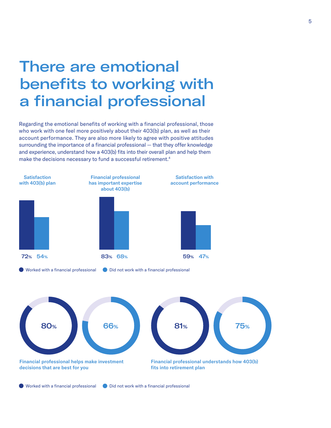### There are emotional benefits to working with a financial professional

Regarding the emotional benefits of working with a financial professional, those who work with one feel more positively about their 403(b) plan, as well as their account performance. They are also more likely to agree with positive attitudes surrounding the importance of a financial professional — that they offer knowledge and experience, understand how a 403(b) fits into their overall plan and help them make the decisions necessary to fund a successful retirement.<sup>4</sup>







 $\bullet$  Worked with a financial professional  $\bullet$  Did not work with a financial professional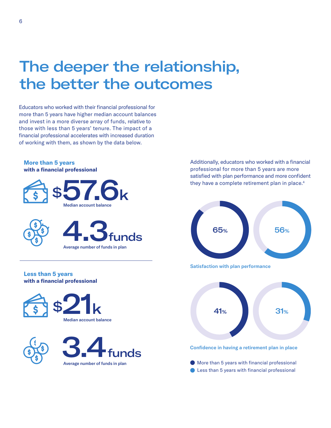## The deeper the relationship, the better the outcomes

Educators who worked with their financial professional for more than 5 years have higher median account balances and invest in a more diverse array of funds, relative to those with less than 5 years' tenure. The impact of a financial professional accelerates with increased duration of working with them, as shown by the data below.

#### **More than 5 years with a financial professional**







#### **Less than 5 years with a financial professional**





Additionally, educators who worked with a financial professional for more than 5 years are more satisfied with plan performance and more confident they have a complete retirement plan in place.<sup>4</sup>



Satisfaction with plan performance



- Average number of funds in plan  $\bullet$  More than 5 years with financial professional
	- **C** Less than 5 years with financial professional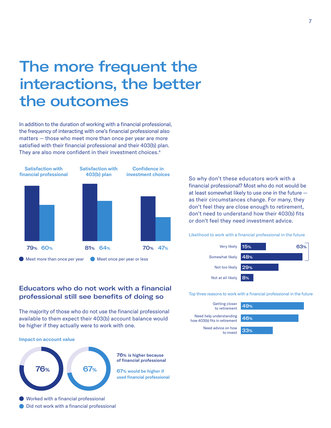## The more frequent the interactions, the better the outcomes

In addition to the duration of working with a financial professional, the frequency of interacting with one's financial professional also matters — those who meet more than once per year are more satisfied with their financial professional and their 403(b) plan. They are also more confident in their investment choices.<sup>4</sup>



Meet more than once per year **Meet once per year or less** 

So why don't these educators work with a financial professional? Most who do not would be at least somewhat likely to use one in the future as their circumstances change. For many, they don't feel they are close enough to retirement, don't need to understand how their 403(b) fits or don't feel they need investment advice.

Likelihood to work with a financial professional in the future



### Top three reasons to work with a financial professional in the future





The majority of those who do not use the financial professional available to them expect their 403(b) account balance would be higher if they actually were to work with one.

#### Impact on account value



Did not work with a financial professional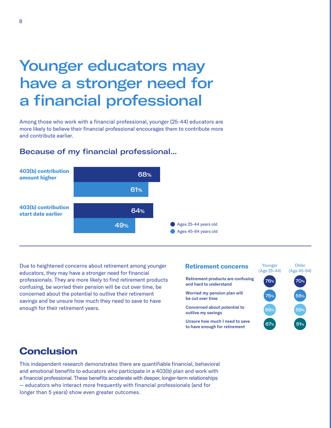## Younger educators may have a stronger need for a financial professional

Among those who work with a financial professional, younger (25-44) educators are more likely to believe their financial professional encourages them to contribute more and contribute earlier.

### Because of my financial professional...



Due to heightened concerns about retirement among younger educators, they may have a stronger need for financial professionals. They are more likely to find retirement products confusing, be worried their pension will be cut over time, be concerned about the potential to outlive their retirement savings and be unsure how much they need to save to have enough for their retirement years.

### **Retirement concerns** Younger

Retirement products are confusing and hard to understand

Worried my pension plan will be cut over time

Concerned about potential to outlive my savings

Unsure how much I need to save to have enough for retirement



### **Conclusion**

This independent research demonstrates there are quantifiable financial, behavioral and emotional benefits to educators who participate in a 403(b) plan and work with a financial professional. These benefits accelerate with deeper, longer-term relationships — educators who interact more frequently with financial professionals (and for longer than 5 years) show even greater outcomes.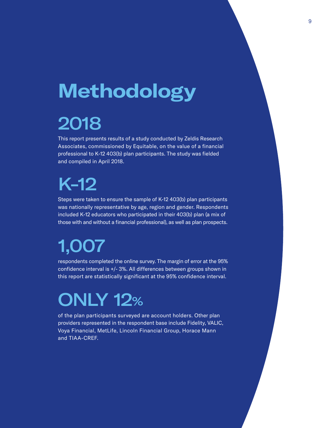# **Methodology**

# 2018

This report presents results of a study conducted by Zeldis Research Associates, commissioned by Equitable, on the value of a financial professional to K-12 403(b) plan participants. The study was fielded and compiled in April 2018.

# K-12

Steps were taken to ensure the sample of K-12 403(b) plan participants was nationally representative by age, region and gender. Respondents included K-12 educators who participated in their 403(b) plan (a mix of those with and without a financial professional), as well as plan prospects.

# 1,007

respondents completed the online survey. The margin of error at the 95% confidence interval is +/- 3%. All differences between groups shown in this report are statistically significant at the 95% confidence interval.

# ONLY 12%

of the plan participants surveyed are account holders. Other plan providers represented in the respondent base include Fidelity, VALIC, Voya Financial, MetLife, Lincoln Financial Group, Horace Mann and TIAA-CREF.